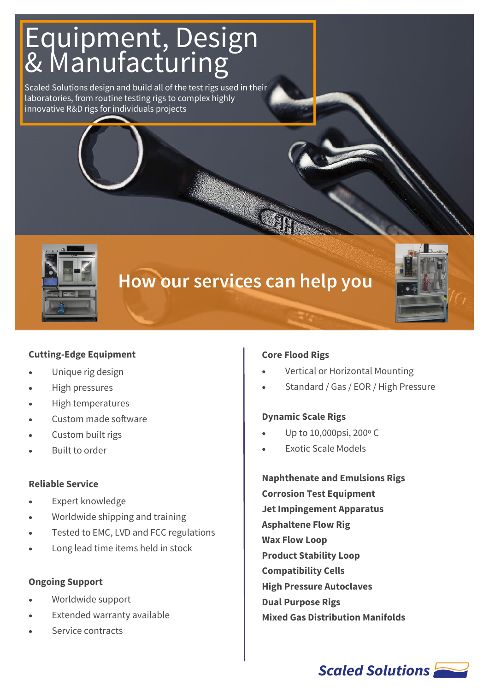# Equipment, Design & Manufacturing

Scaled Solutions design and build all of the test rigs used in their laboratories, from routine testing rigs to complex highly innovative R&D rigs for individuals projects



# **How our services can help you**



#### **Cutting-Edge Equipment**

- Unique rig design
- High pressures
- High temperatures
- Custom made software
- Custom built rigs
- Built to order

#### **Reliable Service**

- Expert knowledge
- Worldwide shipping and training
- Tested to EMC, LVD and FCC regulations
- Long lead time items held in stock

#### **Ongoing Support**

- Worldwide support
- Extended warranty available
- Service contracts

#### **Core Flood Rigs**

- Vertical or Horizontal Mounting
- Standard / Gas / EOR / High Pressure

#### **Dynamic Scale Rigs**

- Up to 10,000psi, 200º C
- Exotic Scale Models

**Naphthenate and Emulsions Rigs Corrosion Test Equipment Jet Impingement Apparatus Asphaltene Flow Rig Wax Flow Loop Product Stability Loop Compatibility Cells High Pressure Autoclaves Dual Purpose Rigs Mixed Gas Distribution Manifolds**